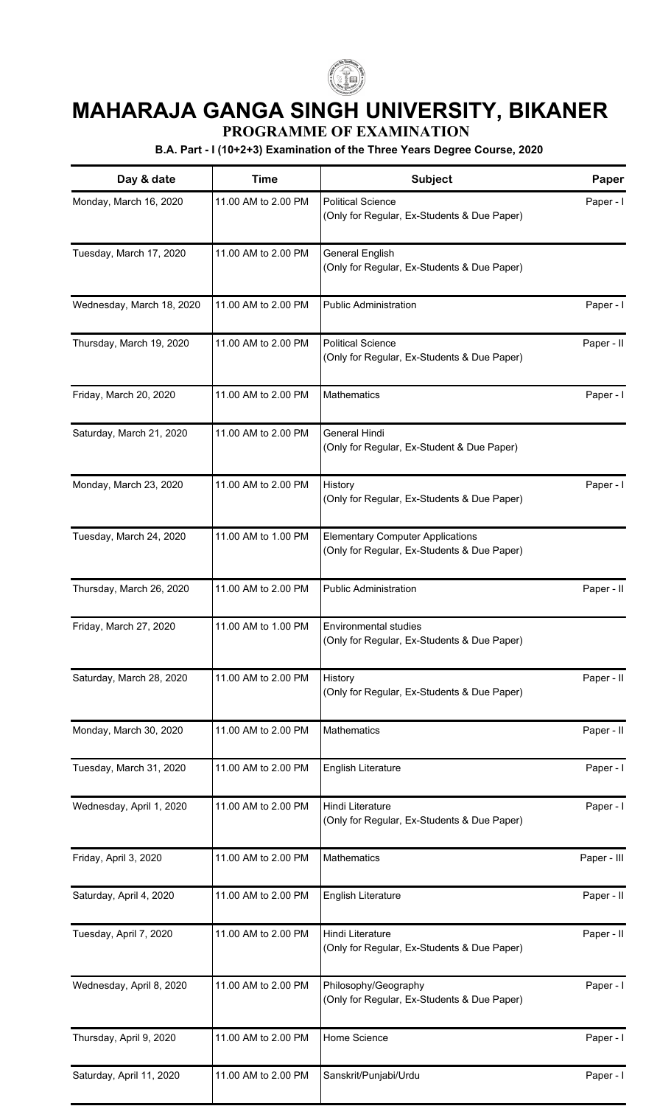

## **MAHARAJA GANGA SINGH UNIVERSITY, BIKANER**

**PROGRAMME OF EXAMINATION**

**B.A. Part - I (10+2+3) Examination of the Three Years Degree Course, 2020**

| Day & date                | <b>Time</b>         | <b>Subject</b>                                                                         | Paper       |  |
|---------------------------|---------------------|----------------------------------------------------------------------------------------|-------------|--|
| Monday, March 16, 2020    | 11.00 AM to 2.00 PM | <b>Political Science</b><br>(Only for Regular, Ex-Students & Due Paper)                | Paper - I   |  |
| Tuesday, March 17, 2020   | 11.00 AM to 2.00 PM | General English<br>(Only for Regular, Ex-Students & Due Paper)                         |             |  |
| Wednesday, March 18, 2020 | 11.00 AM to 2.00 PM | <b>Public Administration</b>                                                           | Paper - I   |  |
| Thursday, March 19, 2020  | 11.00 AM to 2.00 PM | <b>Political Science</b><br>(Only for Regular, Ex-Students & Due Paper)                | Paper - II  |  |
| Friday, March 20, 2020    | 11.00 AM to 2.00 PM | Mathematics                                                                            | Paper - I   |  |
| Saturday, March 21, 2020  | 11.00 AM to 2.00 PM | General Hindi<br>(Only for Regular, Ex-Student & Due Paper)                            |             |  |
| Monday, March 23, 2020    | 11.00 AM to 2.00 PM | History<br>(Only for Regular, Ex-Students & Due Paper)                                 | Paper - I   |  |
| Tuesday, March 24, 2020   | 11.00 AM to 1.00 PM | <b>Elementary Computer Applications</b><br>(Only for Regular, Ex-Students & Due Paper) |             |  |
| Thursday, March 26, 2020  | 11.00 AM to 2.00 PM | <b>Public Administration</b>                                                           | Paper - II  |  |
| Friday, March 27, 2020    | 11.00 AM to 1.00 PM | Environmental studies<br>(Only for Regular, Ex-Students & Due Paper)                   |             |  |
| Saturday, March 28, 2020  | 11.00 AM to 2.00 PM | History<br>(Only for Regular, Ex-Students & Due Paper)                                 | Paper - II  |  |
| Monday, March 30, 2020    | 11.00 AM to 2.00 PM | <b>Mathematics</b>                                                                     | Paper - II  |  |
| Tuesday, March 31, 2020   | 11.00 AM to 2.00 PM | English Literature                                                                     | Paper - I   |  |
| Wednesday, April 1, 2020  | 11.00 AM to 2.00 PM | Hindi Literature<br>(Only for Regular, Ex-Students & Due Paper)                        | Paper - I   |  |
| Friday, April 3, 2020     | 11.00 AM to 2.00 PM | <b>Mathematics</b>                                                                     | Paper - III |  |
| Saturday, April 4, 2020   | 11.00 AM to 2.00 PM | <b>English Literature</b>                                                              | Paper - II  |  |
| Tuesday, April 7, 2020    | 11.00 AM to 2.00 PM | Hindi Literature<br>(Only for Regular, Ex-Students & Due Paper)                        | Paper - II  |  |
| Wednesday, April 8, 2020  | 11.00 AM to 2.00 PM | Philosophy/Geography<br>(Only for Regular, Ex-Students & Due Paper)                    | Paper - I   |  |
| Thursday, April 9, 2020   | 11.00 AM to 2.00 PM | Home Science                                                                           | Paper - I   |  |
| Saturday, April 11, 2020  | 11.00 AM to 2.00 PM | Sanskrit/Punjabi/Urdu                                                                  | Paper - I   |  |